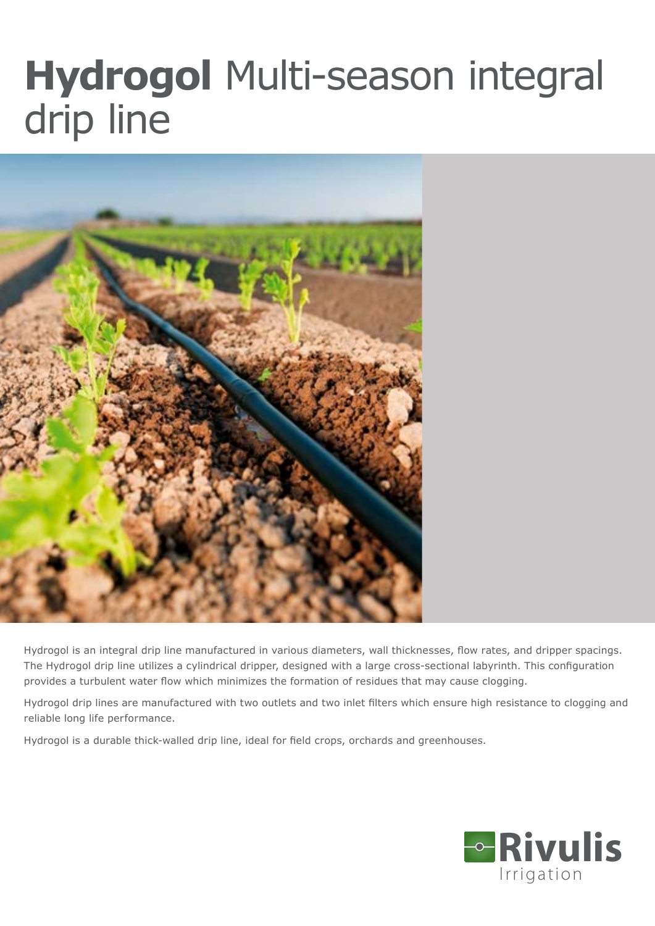## **Hydrogol** Multi-season integral drip line



Hydrogol is an integral drip line manufactured in various diameters, wall thicknesses, flow rates, and dripper spacings. The Hydrogol drip line utilizes a cylindrical dripper, designed with a large cross-sectional labyrinth. This configuration provides a turbulent water flow which minimizes the formation of residues that may cause clogging.

Hydrogol drip lines are manufactured with two outlets and two inlet filters which ensure high resistance to clogging and reliable long life performance.

Hydrogol is a durable thick-walled drip line, ideal for field crops, orchards and greenhouses.